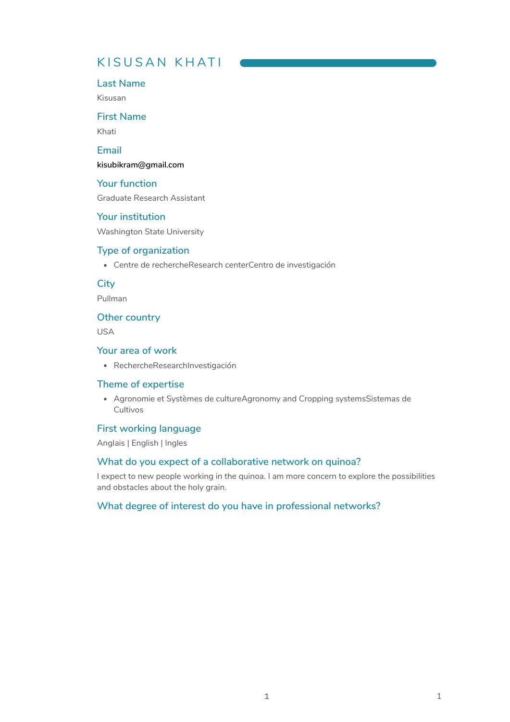# K I SU S A N K H AT I

#### **Last Name**

Kisusan

## **First Name**

Khati

## **Email**

**[kisubikram@gmail.com](mailto:kisubikram@gmail.com)**

#### **Your function**

Graduate Research Assistant

### **Your institution**

Washington State University

#### **Type of organization**

Centre de rechercheResearch centerCentro de investigación

## **City**

Pullman

#### **Other country**

USA

#### **Your area of work**

RechercheResearchInvestigación

#### **Theme of expertise**

Agronomie et Systèmes de cultureAgronomy and Cropping systemsSistemas de Cultivos

## **First working language**

Anglais | English | Ingles

#### **What do you expect of a collaborative network on quinoa?**

I expect to new people working in the quinoa. I am more concern to explore the possibilities and obstacles about the holy grain.

#### **What degree of interest do you have in professional networks?**